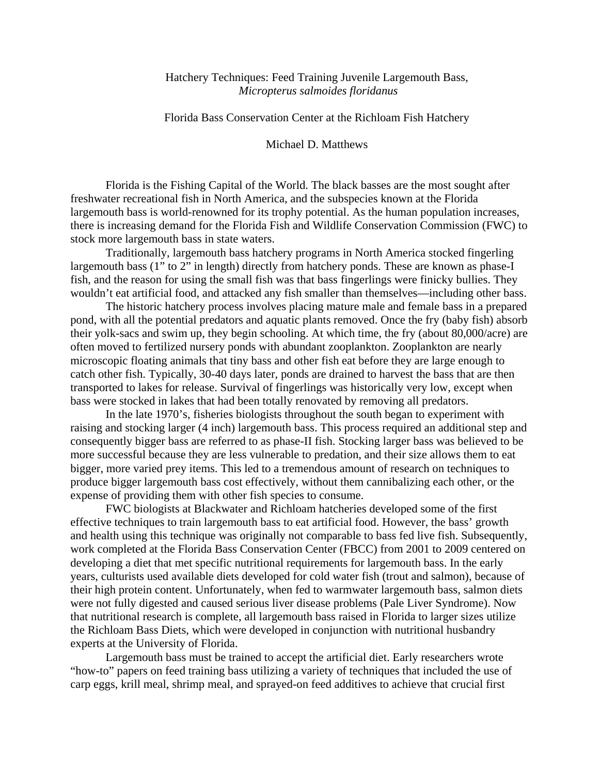# Hatchery Techniques: Feed Training Juvenile Largemouth Bass, *Micropterus salmoides floridanus*

## Florida Bass Conservation Center at the Richloam Fish Hatchery

## Michael D. Matthews

Florida is the Fishing Capital of the World. The black basses are the most sought after freshwater recreational fish in North America, and the subspecies known at the Florida largemouth bass is world-renowned for its trophy potential. As the human population increases, there is increasing demand for the Florida Fish and Wildlife Conservation Commission (FWC) to stock more largemouth bass in state waters.

Traditionally, largemouth bass hatchery programs in North America stocked fingerling largemouth bass (1" to 2" in length) directly from hatchery ponds. These are known as phase-I fish, and the reason for using the small fish was that bass fingerlings were finicky bullies. They wouldn't eat artificial food, and attacked any fish smaller than themselves—including other bass.

The historic hatchery process involves placing mature male and female bass in a prepared pond, with all the potential predators and aquatic plants removed. Once the fry (baby fish) absorb their yolk-sacs and swim up, they begin schooling. At which time, the fry (about 80,000/acre) are often moved to fertilized nursery ponds with abundant zooplankton. Zooplankton are nearly microscopic floating animals that tiny bass and other fish eat before they are large enough to catch other fish. Typically, 30-40 days later, ponds are drained to harvest the bass that are then transported to lakes for release. Survival of fingerlings was historically very low, except when bass were stocked in lakes that had been totally renovated by removing all predators.

In the late 1970's, fisheries biologists throughout the south began to experiment with raising and stocking larger (4 inch) largemouth bass. This process required an additional step and consequently bigger bass are referred to as phase-II fish. Stocking larger bass was believed to be more successful because they are less vulnerable to predation, and their size allows them to eat bigger, more varied prey items. This led to a tremendous amount of research on techniques to produce bigger largemouth bass cost effectively, without them cannibalizing each other, or the expense of providing them with other fish species to consume.

FWC biologists at Blackwater and Richloam hatcheries developed some of the first effective techniques to train largemouth bass to eat artificial food. However, the bass' growth and health using this technique was originally not comparable to bass fed live fish. Subsequently, work completed at the Florida Bass Conservation Center (FBCC) from 2001 to 2009 centered on developing a diet that met specific nutritional requirements for largemouth bass. In the early years, culturists used available diets developed for cold water fish (trout and salmon), because of their high protein content. Unfortunately, when fed to warmwater largemouth bass, salmon diets were not fully digested and caused serious liver disease problems (Pale Liver Syndrome). Now that nutritional research is complete, all largemouth bass raised in Florida to larger sizes utilize the Richloam Bass Diets, which were developed in conjunction with nutritional husbandry experts at the University of Florida.

Largemouth bass must be trained to accept the artificial diet. Early researchers wrote "how-to" papers on feed training bass utilizing a variety of techniques that included the use of carp eggs, krill meal, shrimp meal, and sprayed-on feed additives to achieve that crucial first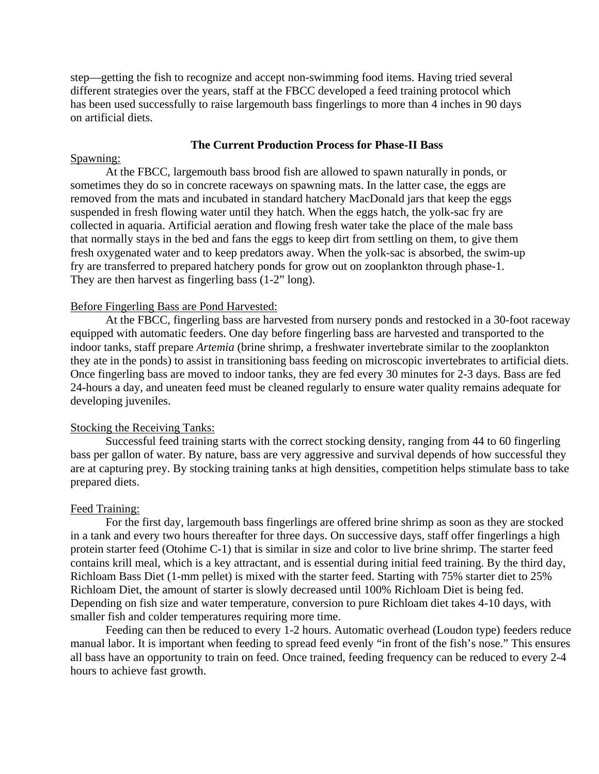step—getting the fish to recognize and accept non-swimming food items. Having tried several different strategies over the years, staff at the FBCC developed a feed training protocol which has been used successfully to raise largemouth bass fingerlings to more than 4 inches in 90 days on artificial diets.

### **The Current Production Process for Phase-II Bass**

#### Spawning:

At the FBCC, largemouth bass brood fish are allowed to spawn naturally in ponds, or sometimes they do so in concrete raceways on spawning mats. In the latter case, the eggs are removed from the mats and incubated in standard hatchery MacDonald jars that keep the eggs suspended in fresh flowing water until they hatch. When the eggs hatch, the yolk-sac fry are collected in aquaria. Artificial aeration and flowing fresh water take the place of the male bass that normally stays in the bed and fans the eggs to keep dirt from settling on them, to give them fresh oxygenated water and to keep predators away. When the yolk-sac is absorbed, the swim-up fry are transferred to prepared hatchery ponds for grow out on zooplankton through phase-1. They are then harvest as fingerling bass (1-2" long).

### Before Fingerling Bass are Pond Harvested:

At the FBCC*,* fingerling bass are harvested from nursery ponds and restocked in a 30-foot raceway equipped with automatic feeders. One day before fingerling bass are harvested and transported to the indoor tanks, staff prepare *Artemia* (brine shrimp, a freshwater invertebrate similar to the zooplankton they ate in the ponds) to assist in transitioning bass feeding on microscopic invertebrates to artificial diets. Once fingerling bass are moved to indoor tanks, they are fed every 30 minutes for 2-3 days. Bass are fed 24-hours a day, and uneaten feed must be cleaned regularly to ensure water quality remains adequate for developing juveniles.

#### Stocking the Receiving Tanks:

Successful feed training starts with the correct stocking density, ranging from 44 to 60 fingerling bass per gallon of water. By nature, bass are very aggressive and survival depends of how successful they are at capturing prey. By stocking training tanks at high densities, competition helps stimulate bass to take prepared diets.

#### Feed Training:

For the first day, largemouth bass fingerlings are offered brine shrimp as soon as they are stocked in a tank and every two hours thereafter for three days. On successive days, staff offer fingerlings a high protein starter feed (Otohime C-1) that is similar in size and color to live brine shrimp. The starter feed contains krill meal, which is a key attractant, and is essential during initial feed training. By the third day, Richloam Bass Diet (1-mm pellet) is mixed with the starter feed. Starting with 75% starter diet to 25% Richloam Diet, the amount of starter is slowly decreased until 100% Richloam Diet is being fed. Depending on fish size and water temperature, conversion to pure Richloam diet takes 4-10 days, with smaller fish and colder temperatures requiring more time.

Feeding can then be reduced to every 1-2 hours. Automatic overhead (Loudon type) feeders reduce manual labor. It is important when feeding to spread feed evenly "in front of the fish's nose." This ensures all bass have an opportunity to train on feed. Once trained, feeding frequency can be reduced to every 2-4 hours to achieve fast growth.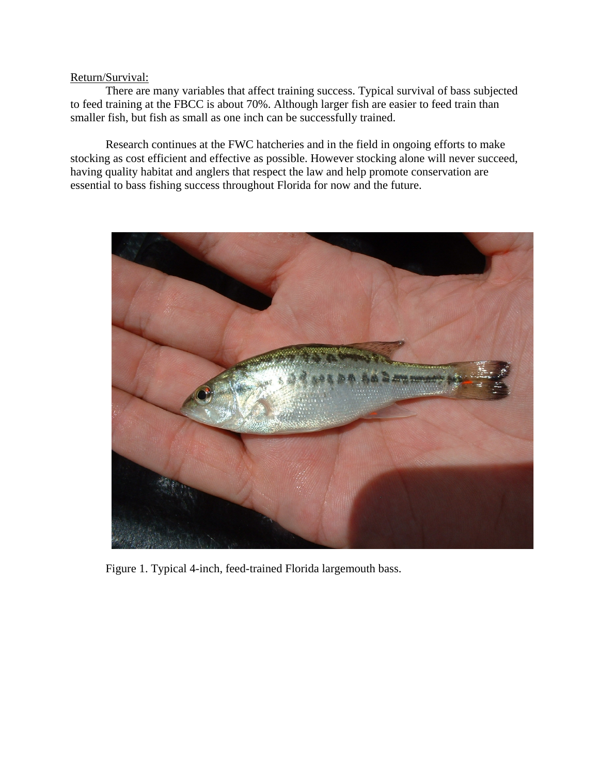# Return/Survival:

There are many variables that affect training success. Typical survival of bass subjected to feed training at the FBCC is about 70%. Although larger fish are easier to feed train than smaller fish, but fish as small as one inch can be successfully trained.

Research continues at the FWC hatcheries and in the field in ongoing efforts to make stocking as cost efficient and effective as possible. However stocking alone will never succeed, having quality habitat and anglers that respect the law and help promote conservation are essential to bass fishing success throughout Florida for now and the future.



Figure 1. Typical 4-inch, feed-trained Florida largemouth bass.